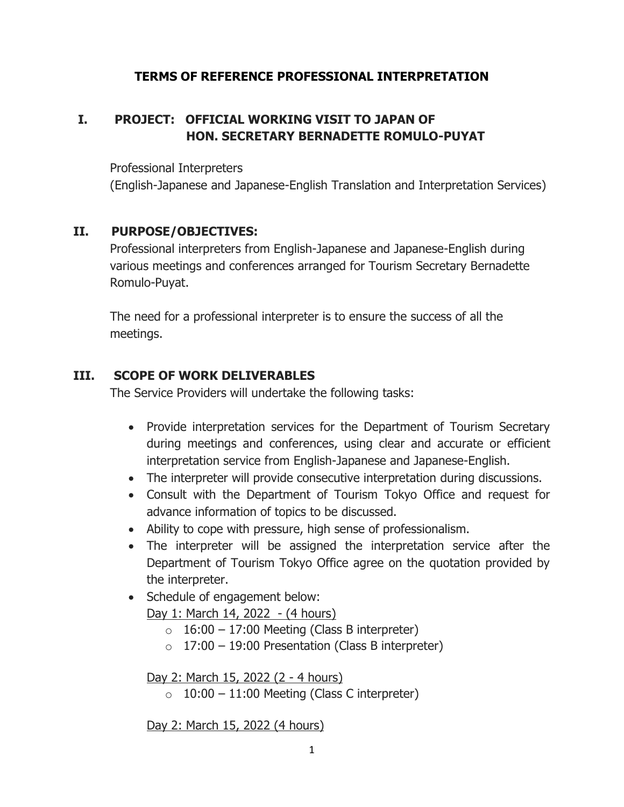### **TERMS OF REFERENCE PROFESSIONAL INTERPRETATION**

# **I. PROJECT: OFFICIAL WORKING VISIT TO JAPAN OF HON. SECRETARY BERNADETTE ROMULO-PUYAT**

Professional Interpreters (English-Japanese and Japanese-English Translation and Interpretation Services)

### **II. PURPOSE/OBJECTIVES:**

Professional interpreters from English-Japanese and Japanese-English during various meetings and conferences arranged for Tourism Secretary Bernadette Romulo-Puyat.

The need for a professional interpreter is to ensure the success of all the meetings.

### **III. SCOPE OF WORK DELIVERABLES**

The Service Providers will undertake the following tasks:

- Provide interpretation services for the Department of Tourism Secretary during meetings and conferences, using clear and accurate or efficient interpretation service from English-Japanese and Japanese-English.
- The interpreter will provide consecutive interpretation during discussions.
- Consult with the Department of Tourism Tokyo Office and request for advance information of topics to be discussed.
- Ability to cope with pressure, high sense of professionalism.
- The interpreter will be assigned the interpretation service after the Department of Tourism Tokyo Office agree on the quotation provided by the interpreter.
- Schedule of engagement below: Day 1: March 14, 2022 - (4 hours)
	- $\circ$  16:00 17:00 Meeting (Class B interpreter)
	- $\circ$  17:00 19:00 Presentation (Class B interpreter)

Day 2: March 15, 2022 (2 - 4 hours)

 $\circ$  10:00 – 11:00 Meeting (Class C interpreter)

Day 2: March 15, 2022 (4 hours)